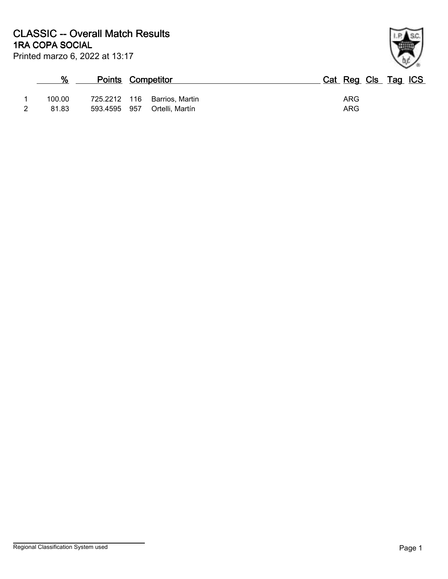| %      |              | <b>Points Competitor</b>     | Cat Reg Cls Tag ICS |
|--------|--------------|------------------------------|---------------------|
| 100.00 |              | 725.2212 116 Barrios, Martin | ARG                 |
| 81.83  | 593.4595 957 | Ortelli, Martín              | ARG                 |

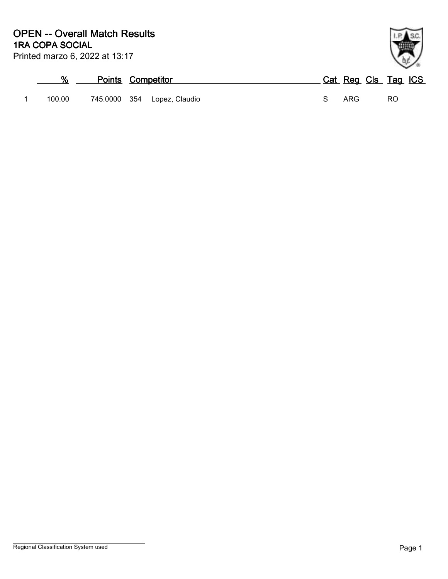| ℅      |          | <b>Points Competitor</b> | Cat Reg Cls Tag ICS |    |
|--------|----------|--------------------------|---------------------|----|
| 100.00 | 745.0000 | 354<br>Lopez, Claudio    | ARG                 | RO |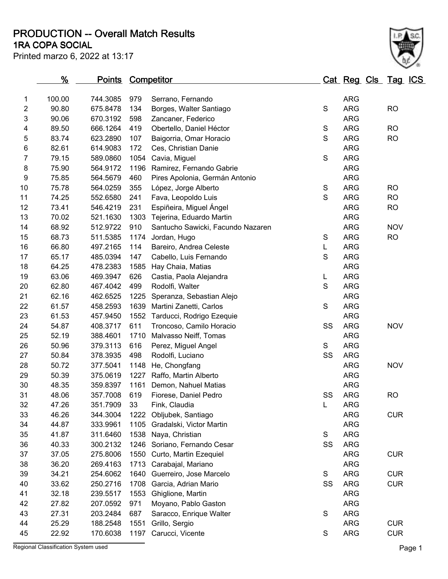**1RA COPA SOCIAL PRODUCTION -- Overall Match Results**



|                | %      | <u>Points</u> |      | <b>Competitor</b>                 |             | Cat Reg Cls Tag ICS |            |  |
|----------------|--------|---------------|------|-----------------------------------|-------------|---------------------|------------|--|
| 1              | 100.00 | 744.3085      | 979  | Serrano, Fernando                 |             | <b>ARG</b>          |            |  |
| 2              | 90.80  | 675.8478      | 134  | Borges, Walter Santiago           | $\mathsf S$ | <b>ARG</b>          | <b>RO</b>  |  |
| 3              | 90.06  | 670.3192      | 598  | Zancaner, Federico                |             | <b>ARG</b>          |            |  |
| 4              | 89.50  | 666.1264      | 419  | Obertello, Daniel Héctor          | $\mathbb S$ | <b>ARG</b>          | <b>RO</b>  |  |
| 5              | 83.74  | 623.2890      | 107  | Baigorria, Omar Horacio           | $\mathbf S$ | <b>ARG</b>          | <b>RO</b>  |  |
| 6              | 82.61  | 614.9083      | 172  | Ces, Christian Danie              |             | <b>ARG</b>          |            |  |
| $\overline{7}$ | 79.15  | 589.0860      | 1054 | Cavia, Miguel                     | $\mathsf S$ | <b>ARG</b>          |            |  |
| 8              | 75.90  | 564.9172      | 1196 | Ramirez, Fernando Gabrie          |             | <b>ARG</b>          |            |  |
| 9              | 75.85  | 564.5679      | 460  | Pires Apolonia, Germán Antonio    |             | <b>ARG</b>          |            |  |
| 10             | 75.78  | 564.0259      | 355  | López, Jorge Alberto              | $\mathbb S$ | <b>ARG</b>          | <b>RO</b>  |  |
| 11             | 74.25  | 552.6580      | 241  | Fava, Leopoldo Luis               | $\mathbf S$ | <b>ARG</b>          | <b>RO</b>  |  |
| 12             | 73.41  | 546.4219      | 231  | Espiñeira, Miguel Ángel           |             | <b>ARG</b>          | <b>RO</b>  |  |
| 13             | 70.02  | 521.1630      | 1303 | Tejerina, Eduardo Martin          |             | <b>ARG</b>          |            |  |
| 14             | 68.92  | 512.9722      | 910  | Santucho Sawicki, Facundo Nazaren |             | <b>ARG</b>          | <b>NOV</b> |  |
| 15             | 68.73  | 511.5385      | 1174 | Jordan, Hugo                      | $\mathbf S$ | <b>ARG</b>          | <b>RO</b>  |  |
| 16             | 66.80  | 497.2165      | 114  | Bareiro, Andrea Celeste           | L.          | <b>ARG</b>          |            |  |
| 17             | 65.17  | 485.0394      | 147  | Cabello, Luis Fernando            | $\mathsf S$ | <b>ARG</b>          |            |  |
| 18             | 64.25  | 478.2383      | 1585 | Hay Chaia, Matias                 |             | <b>ARG</b>          |            |  |
| 19             | 63.06  | 469.3947      | 626  | Castia, Paola Alejandra           | L           | <b>ARG</b>          |            |  |
| 20             | 62.80  | 467.4042      | 499  | Rodolfi, Walter                   | $\mathsf S$ | <b>ARG</b>          |            |  |
| 21             | 62.16  | 462.6525      | 1225 | Speranza, Sebastian Alejo         |             | <b>ARG</b>          |            |  |
| 22             | 61.57  | 458.2593      | 1639 | Martini Zanetti, Carlos           | $\mathsf S$ | <b>ARG</b>          |            |  |
| 23             | 61.53  | 457.9450      |      | 1552 Tarducci, Rodrigo Ezequie    |             | <b>ARG</b>          |            |  |
| 24             | 54.87  | 408.3717      | 611  | Troncoso, Camilo Horacio          | SS          | <b>ARG</b>          | <b>NOV</b> |  |
| 25             | 52.19  | 388.4601      | 1710 | Malvasso Neiff, Tomas             |             | <b>ARG</b>          |            |  |
| 26             | 50.96  | 379.3113      | 616  | Perez, Miguel Angel               | S           | <b>ARG</b>          |            |  |
| 27             | 50.84  | 378.3935      | 498  | Rodolfi, Luciano                  | SS          | <b>ARG</b>          |            |  |
| 28             | 50.72  | 377.5041      | 1148 | He, Chongfang                     |             | <b>ARG</b>          | <b>NOV</b> |  |
| 29             | 50.39  | 375.0619      | 1227 | Raffo, Martin Alberto             |             | <b>ARG</b>          |            |  |
| 30             | 48.35  | 359.8397      | 1161 | Demon, Nahuel Matias              |             | <b>ARG</b>          |            |  |
| 31             | 48.06  | 357.7008      | 619  | Fiorese, Daniel Pedro             | SS          | <b>ARG</b>          | <b>RO</b>  |  |
| 32             | 47.26  | 351.7909      | 33   | Fink, Claudia                     | L           | <b>ARG</b>          |            |  |
| 33             | 46.26  | 344.3004      | 1222 | Obljubek, Santiago                |             | <b>ARG</b>          | <b>CUR</b> |  |
| 34             | 44.87  | 333.9961      | 1105 | Gradalski, Victor Martin          |             | <b>ARG</b>          |            |  |
| 35             | 41.87  | 311.6460      | 1538 | Naya, Christian                   | S           | <b>ARG</b>          |            |  |
| 36             | 40.33  | 300.2132      | 1246 | Soriano, Fernando Cesar           | SS          | <b>ARG</b>          |            |  |
| 37             | 37.05  | 275.8006      | 1550 | Curto, Martin Ezequiel            |             | <b>ARG</b>          | <b>CUR</b> |  |
| 38             | 36.20  | 269.4163      | 1713 | Carabajal, Mariano                |             | <b>ARG</b>          |            |  |
| 39             | 34.21  | 254.6062      | 1640 | Guerreiro, Jose Marcelo           | S           | <b>ARG</b>          | <b>CUR</b> |  |
| 40             | 33.62  | 250.2716      | 1708 | Garcia, Adrian Mario              | SS          | <b>ARG</b>          | <b>CUR</b> |  |
| 41             | 32.18  | 239.5517      | 1553 | Ghiglione, Martin                 |             | <b>ARG</b>          |            |  |
| 42             | 27.82  | 207.0592      | 971  | Moyano, Pablo Gaston              |             | <b>ARG</b>          |            |  |
| 43             | 27.31  | 203.2484      | 687  | Saracco, Enrique Walter           | S           | <b>ARG</b>          |            |  |
| 44             | 25.29  | 188.2548      | 1551 | Grillo, Sergio                    |             | <b>ARG</b>          | <b>CUR</b> |  |
| 45             | 22.92  | 170.6038      | 1197 | Carucci, Vicente                  | S           | <b>ARG</b>          | <b>CUR</b> |  |

Regional Classification System used **Page 1**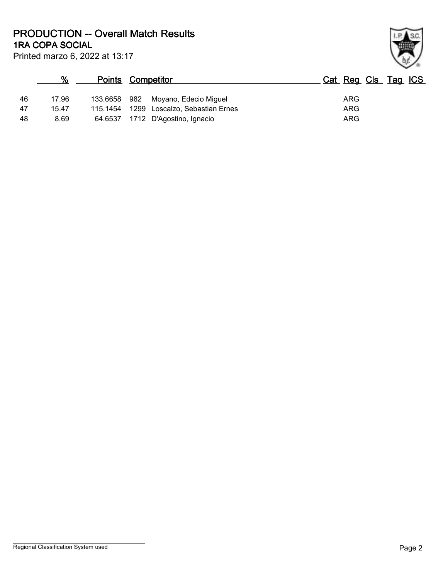**1RA COPA SOCIAL PRODUCTION -- Overall Match Results**

| ł. |
|----|

Printed marzo 6, 2022 at 13:17

## **% Points Competitor Cat Reg Cls Tag ICS** 46 17.96 133.6658 982 Moyano, Edecio Miguel ARG 47 15.47 115.1454 1299 Loscalzo, Sebastian Ernes<br>48 8.69 64.6537 1712 D'Agostino Ignacio 48 8.69 64.6537 1712 D'Agostino, Ignacio ARG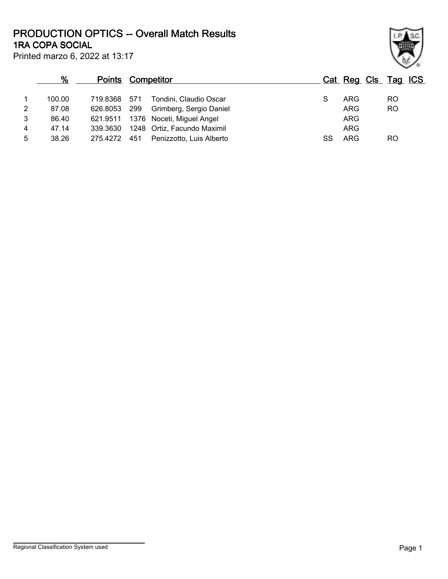Printed marzo 6, 2022 at 13:17 **1RA COPA SOCIAL PRODUCTION OPTICS -- Overall Match Results**

|   |        | <u>Points</u> | Competitor                  |                          |    | Cat Reg Cls Tag ICS |           |
|---|--------|---------------|-----------------------------|--------------------------|----|---------------------|-----------|
|   | 100.00 | 719.8368 571  |                             | Tondini, Claudio Oscar   |    | ARG                 | RO        |
| 2 | 87.08  | 626.8053      | 299                         | Grimberg, Sergio Daniel  |    | ARG                 | <b>RO</b> |
| 3 | 86.40  | 621.9511      | 1376 Noceti, Miguel Angel   |                          |    | ARG                 |           |
| 4 | 47.14  | 339.3630      | 1248 Ortiz, Facundo Maximil |                          |    | <b>ARG</b>          |           |
| 5 | 38.26  | 275.4272      | 451                         | Penizzotto, Luis Alberto | SS | ARG                 | RO        |

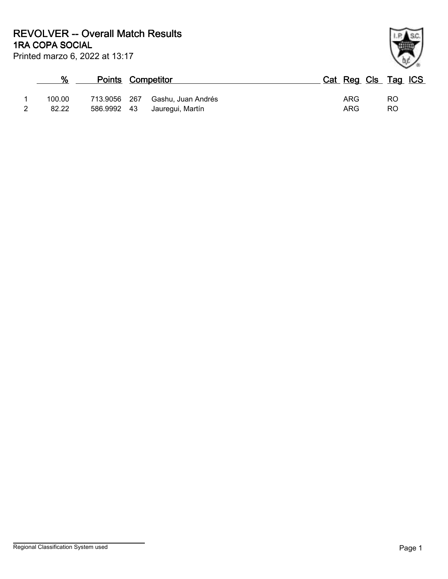**1RA COPA SOCIAL REVOLVER -- Overall Match Results**

| Printed marzo 6, 2022 at 13:17 |
|--------------------------------|
|                                |

| %      | <b>Points Competitor</b> |                    |  | Cat Reg Cls Tag ICS |           |  |
|--------|--------------------------|--------------------|--|---------------------|-----------|--|
| 100.00 | 713.9056 267             | Gashu, Juan Andrés |  | ARG                 | <b>RO</b> |  |
| 82.22  | 586.9992 43              | Jauregui, Martín   |  | ARG                 | <b>RO</b> |  |